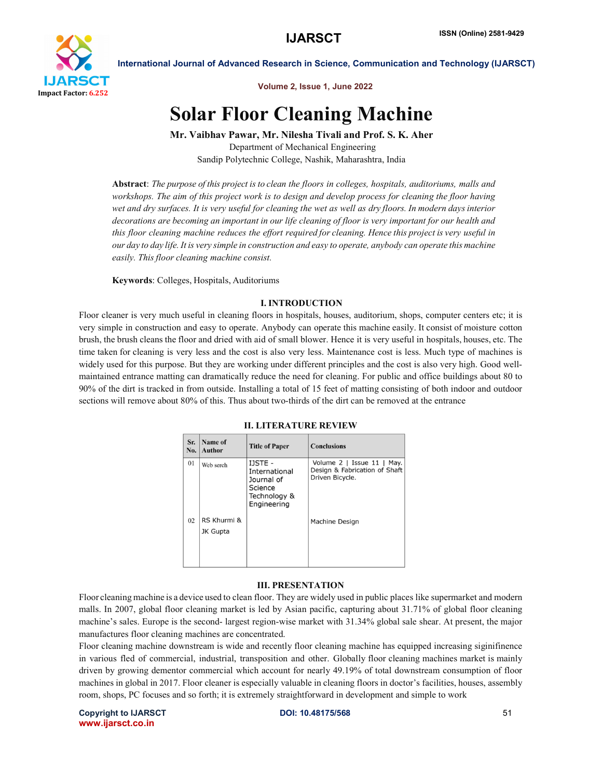

International Journal of Advanced Research in Science, Communication and Technology (IJARSCT)

Volume 2, Issue 1, June 2022

# Solar Floor Cleaning Machine

Mr. Vaibhav Pawar, Mr. Nilesha Tivali and Prof. S. K. Aher Department of Mechanical Engineering

Sandip Polytechnic College, Nashik, Maharashtra, India

Abstract: *The purpose of this project is to clean the floors in colleges, hospitals, auditoriums, malls and workshops. The aim of this project work is to design and develop process for cleaning the floor having wet and dry surfaces. It is very useful for cleaning the wet as well as dry floors. In modern days interior decorations are becoming an important in our life cleaning of floor is very important for our health and this floor cleaning machine reduces the effort required for cleaning. Hence this project is very useful in our day to day life. It is very simple in construction and easy to operate, anybody can operate this machine easily. This floor cleaning machine consist.*

Keywords: Colleges, Hospitals, Auditoriums

# I. INTRODUCTION

Floor cleaner is very much useful in cleaning floors in hospitals, houses, auditorium, shops, computer centers etc; it is very simple in construction and easy to operate. Anybody can operate this machine easily. It consist of moisture cotton brush, the brush cleans the floor and dried with aid of small blower. Hence it is very useful in hospitals, houses, etc. The time taken for cleaning is very less and the cost is also very less. Maintenance cost is less. Much type of machines is widely used for this purpose. But they are working under different principles and the cost is also very high. Good wellmaintained entrance matting can dramatically reduce the need for cleaning. For public and office buildings about 80 to 90% of the dirt is tracked in from outside. Installing a total of 15 feet of matting consisting of both indoor and outdoor sections will remove about 80% of this. Thus about two-thirds of the dirt can be removed at the entrance

| Sr.<br>No. | Name of<br>Author       | <b>Title of Paper</b>                                                            | <b>Conclusions</b>                                                             |
|------------|-------------------------|----------------------------------------------------------------------------------|--------------------------------------------------------------------------------|
| 01         | Web serch               | IJSTE -<br>International<br>Journal of<br>Science<br>Technology &<br>Engineering | Volume 2   Issue 11   May.<br>Design & Fabrication of Shaft<br>Driven Bicycle. |
| 02         | RS Khurmi &<br>JK Gupta |                                                                                  | Machine Design                                                                 |

#### II. LITERATURE REVIEW

# III. PRESENTATION

Floor cleaning machine is a device used to clean floor. They are widely used in public places like supermarket and modern malls. In 2007, global floor cleaning market is led by Asian pacific, capturing about 31.71% of global floor cleaning machine's sales. Europe is the second- largest region-wise market with 31.34% global sale shear. At present, the major manufactures floor cleaning machines are concentrated.

Floor cleaning machine downstream is wide and recently floor cleaning machine has equipped increasing siginifinence in various fled of commercial, industrial, transposition and other. Globally floor cleaning machines market is mainly driven by growing dementor commercial which account for nearly 49.19% of total downstream consumption of floor machines in global in 2017. Floor cleaner is especially valuable in cleaning floors in doctor's facilities, houses, assembly room, shops, PC focuses and so forth; it is extremely straightforward in development and simple to work

Copyright to IJARSCT **DOI: 10.48175/568** 51 www.ijarsct.co.in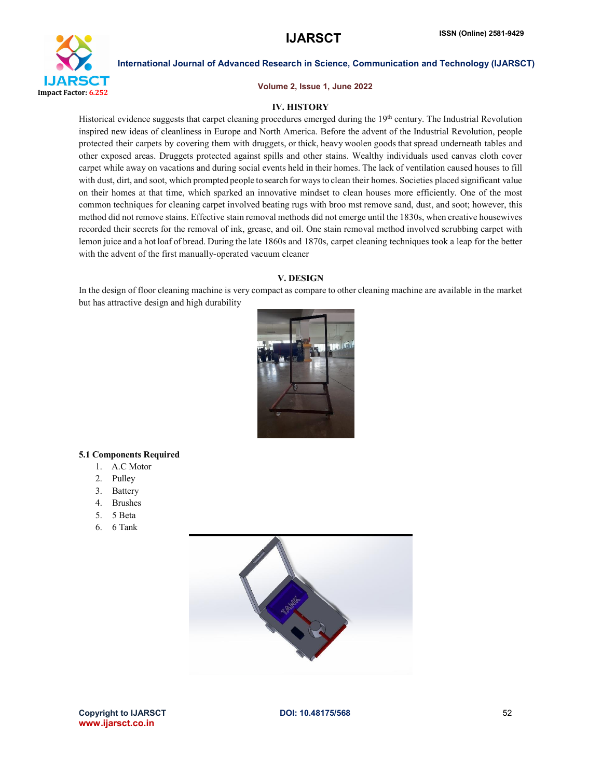

International Journal of Advanced Research in Science, Communication and Technology (IJARSCT)

Volume 2, Issue 1, June 2022

# IV. HISTORY

Historical evidence suggests that carpet cleaning procedures emerged during the 19<sup>th</sup> century. The Industrial Revolution inspired new ideas of cleanliness in Europe and North America. Before the advent of the Industrial Revolution, people protected their carpets by covering them with druggets, or thick, heavy woolen goods that spread underneath tables and other exposed areas. Druggets protected against spills and other stains. Wealthy individuals used canvas cloth cover carpet while away on vacations and during social events held in their homes. The lack of ventilation caused houses to fill with dust, dirt, and soot, which prompted people to search for ways to clean their homes. Societies placed significant value on their homes at that time, which sparked an innovative mindset to clean houses more efficiently. One of the most common techniques for cleaning carpet involved beating rugs with broo mst remove sand, dust, and soot; however, this method did not remove stains. Effective stain removal methods did not emerge until the 1830s, when creative housewives recorded their secrets for the removal of ink, grease, and oil. One stain removal method involved scrubbing carpet with lemon juice and a hot loaf of bread. During the late 1860s and 1870s, carpet cleaning techniques took a leap for the better with the advent of the first manually-operated vacuum cleaner

### V. DESIGN

In the design of floor cleaning machine is very compact as compare to other cleaning machine are available in the market but has attractive design and high durability



# 5.1 Components Required

- 1. A.C Motor
- 2. Pulley
- 3. Battery
- 4. Brushes
- 5. 5 Beta
- 6. 6 Tank